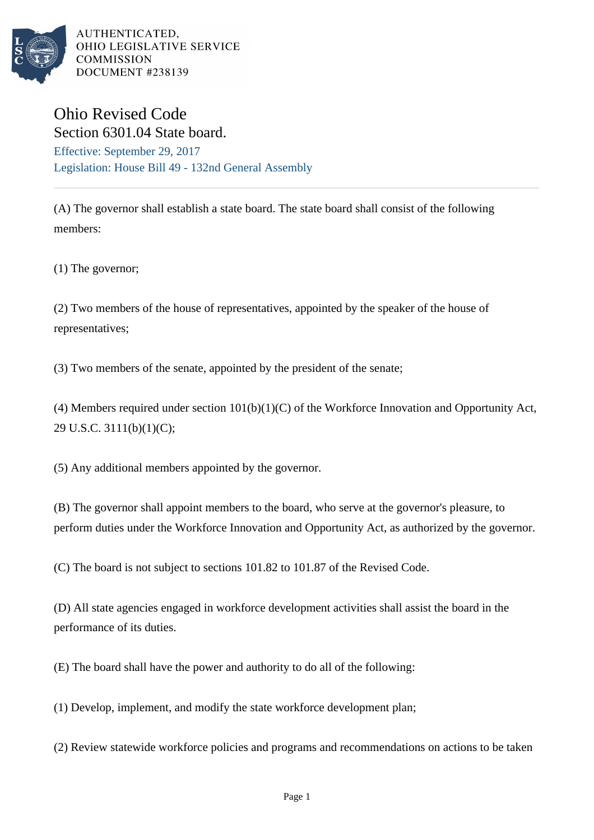

AUTHENTICATED, OHIO LEGISLATIVE SERVICE **COMMISSION** DOCUMENT #238139

## Ohio Revised Code Section 6301.04 State board.

Effective: September 29, 2017 Legislation: House Bill 49 - 132nd General Assembly

(A) The governor shall establish a state board. The state board shall consist of the following members:

(1) The governor;

(2) Two members of the house of representatives, appointed by the speaker of the house of representatives;

(3) Two members of the senate, appointed by the president of the senate;

(4) Members required under section 101(b)(1)(C) of the Workforce Innovation and Opportunity Act, 29 U.S.C. 3111(b)(1)(C);

(5) Any additional members appointed by the governor.

(B) The governor shall appoint members to the board, who serve at the governor's pleasure, to perform duties under the Workforce Innovation and Opportunity Act, as authorized by the governor.

(C) The board is not subject to sections 101.82 to 101.87 of the Revised Code.

(D) All state agencies engaged in workforce development activities shall assist the board in the performance of its duties.

(E) The board shall have the power and authority to do all of the following:

(1) Develop, implement, and modify the state workforce development plan;

(2) Review statewide workforce policies and programs and recommendations on actions to be taken